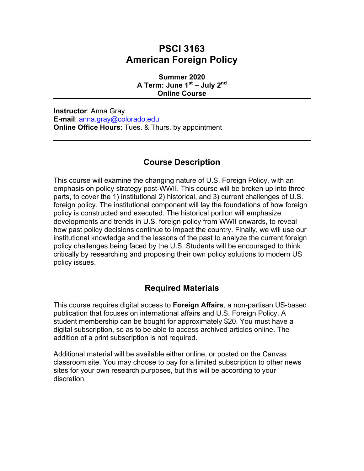# **PSCI 3163 American Foreign Policy**

**Summer 2020 A Term: June 1st – July 2nd Online Course**

**Instructor**: Anna Gray **E-mail**: anna.gray@colorado.edu **Online Office Hours**: Tues. & Thurs. by appointment

## **Course Description**

This course will examine the changing nature of U.S. Foreign Policy, with an emphasis on policy strategy post-WWII. This course will be broken up into three parts, to cover the 1) institutional 2) historical, and 3) current challenges of U.S. foreign policy. The institutional component will lay the foundations of how foreign policy is constructed and executed. The historical portion will emphasize developments and trends in U.S. foreign policy from WWII onwards, to reveal how past policy decisions continue to impact the country. Finally, we will use our institutional knowledge and the lessons of the past to analyze the current foreign policy challenges being faced by the U.S. Students will be encouraged to think critically by researching and proposing their own policy solutions to modern US policy issues.

## **Required Materials**

This course requires digital access to **Foreign Affairs**, a non-partisan US-based publication that focuses on international affairs and U.S. Foreign Policy. A student membership can be bought for approximately \$20. You must have a digital subscription, so as to be able to access archived articles online. The addition of a print subscription is not required.

Additional material will be available either online, or posted on the Canvas classroom site. You may choose to pay for a limited subscription to other news sites for your own research purposes, but this will be according to your discretion.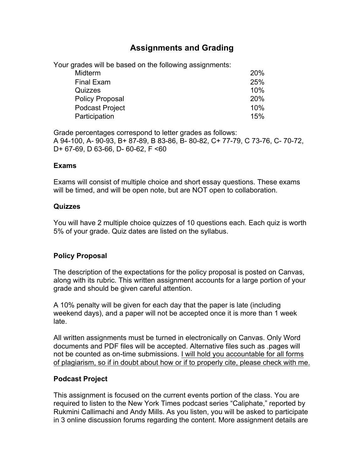## **Assignments and Grading**

Your grades will be based on the following assignments:

| <b>Midterm</b>         | <b>20%</b> |
|------------------------|------------|
| <b>Final Exam</b>      | 25%        |
| Quizzes                | 10%        |
| <b>Policy Proposal</b> | <b>20%</b> |
| <b>Podcast Project</b> | 10%        |
| Participation          | 15%        |

Grade percentages correspond to letter grades as follows: A 94-100, A- 90-93, B+ 87-89, B 83-86, B- 80-82, C+ 77-79, C 73-76, C- 70-72, D+ 67-69, D 63-66, D- 60-62, F <60

#### **Exams**

Exams will consist of multiple choice and short essay questions. These exams will be timed, and will be open note, but are NOT open to collaboration.

#### **Quizzes**

You will have 2 multiple choice quizzes of 10 questions each. Each quiz is worth 5% of your grade. Quiz dates are listed on the syllabus.

### **Policy Proposal**

The description of the expectations for the policy proposal is posted on Canvas, along with its rubric. This written assignment accounts for a large portion of your grade and should be given careful attention.

A 10% penalty will be given for each day that the paper is late (including weekend days), and a paper will not be accepted once it is more than 1 week late.

All written assignments must be turned in electronically on Canvas. Only Word documents and PDF files will be accepted. Alternative files such as .pages will not be counted as on-time submissions. I will hold you accountable for all forms of plagiarism, so if in doubt about how or if to properly cite, please check with me.

### **Podcast Project**

This assignment is focused on the current events portion of the class. You are required to listen to the New York Times podcast series "Caliphate," reported by Rukmini Callimachi and Andy Mills. As you listen, you will be asked to participate in 3 online discussion forums regarding the content. More assignment details are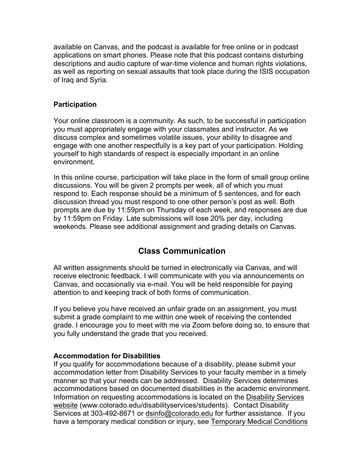available on Canvas, and the podcast is available for free online or in podcast applications on smart phones. Please note that this podcast contains disturbing descriptions and audio capture of war-time violence and human rights violations, as well as reporting on sexual assaults that took place during the ISIS occupation of Iraq and Syria.

### **Participation**

Your online classroom is a community. As such, to be successful in participation you must appropriately engage with your classmates and instructor. As we discuss complex and sometimes volatile issues, your ability to disagree and engage with one another respectfully is a key part of your participation. Holding yourself to high standards of respect is especially important in an online environment.

In this online course, participation will take place in the form of small group online discussions. You will be given 2 prompts per week, all of which you must respond to. Each response should be a minimum of 5 sentences, and for each discussion thread you must respond to one other person's post as well. Both prompts are due by 11:59pm on Thursday of each week, and responses are due by 11:59pm on Friday. Late submissions will lose 20% per day, including weekends. Please see additional assignment and grading details on Canvas.

## **Class Communication**

All written assignments should be turned in electronically via Canvas, and will receive electronic feedback. I will communicate with you via announcements on Canvas, and occasionally via e-mail. You will be held responsible for paying attention to and keeping track of both forms of communication.

If you believe you have received an unfair grade on an assignment, you must submit a grade complaint to me within one week of receiving the contended grade. I encourage you to meet with me via Zoom before doing so, to ensure that you fully understand the grade that you received.

#### **Accommodation for Disabilities**

If you qualify for accommodations because of a disability, please submit your accommodation letter from Disability Services to your faculty member in a timely manner so that your needs can be addressed. Disability Services determines accommodations based on documented disabilities in the academic environment. Information on requesting accommodations is located on the Disability Services website (www.colorado.edu/disabilityservices/students). Contact Disability Services at 303-492-8671 or dsinfo@colorado.edu for further assistance. If you have a temporary medical condition or injury, see Temporary Medical Conditions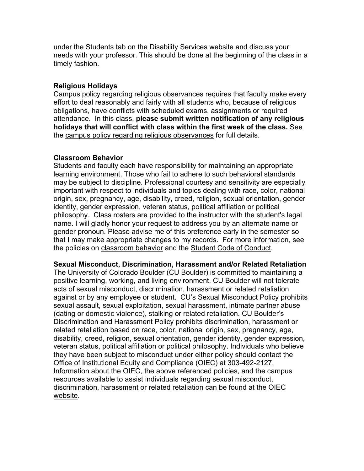under the Students tab on the Disability Services website and discuss your needs with your professor. This should be done at the beginning of the class in a timely fashion.

#### **Religious Holidays**

Campus policy regarding religious observances requires that faculty make every effort to deal reasonably and fairly with all students who, because of religious obligations, have conflicts with scheduled exams, assignments or required attendance. In this class, **please submit written notification of any religious holidays that will conflict with class within the first week of the class.** See the campus policy regarding religious observances for full details.

#### **Classroom Behavior**

Students and faculty each have responsibility for maintaining an appropriate learning environment. Those who fail to adhere to such behavioral standards may be subject to discipline. Professional courtesy and sensitivity are especially important with respect to individuals and topics dealing with race, color, national origin, sex, pregnancy, age, disability, creed, religion, sexual orientation, gender identity, gender expression, veteran status, political affiliation or political philosophy. Class rosters are provided to the instructor with the student's legal name. I will gladly honor your request to address you by an alternate name or gender pronoun. Please advise me of this preference early in the semester so that I may make appropriate changes to my records. For more information, see the policies on classroom behavior and the Student Code of Conduct.

## **Sexual Misconduct, Discrimination, Harassment and/or Related Retaliation**

The University of Colorado Boulder (CU Boulder) is committed to maintaining a positive learning, working, and living environment. CU Boulder will not tolerate acts of sexual misconduct, discrimination, harassment or related retaliation against or by any employee or student. CU's Sexual Misconduct Policy prohibits sexual assault, sexual exploitation, sexual harassment, intimate partner abuse (dating or domestic violence), stalking or related retaliation. CU Boulder's Discrimination and Harassment Policy prohibits discrimination, harassment or related retaliation based on race, color, national origin, sex, pregnancy, age, disability, creed, religion, sexual orientation, gender identity, gender expression, veteran status, political affiliation or political philosophy. Individuals who believe they have been subject to misconduct under either policy should contact the Office of Institutional Equity and Compliance (OIEC) at 303-492-2127. Information about the OIEC, the above referenced policies, and the campus resources available to assist individuals regarding sexual misconduct, discrimination, harassment or related retaliation can be found at the OIEC website.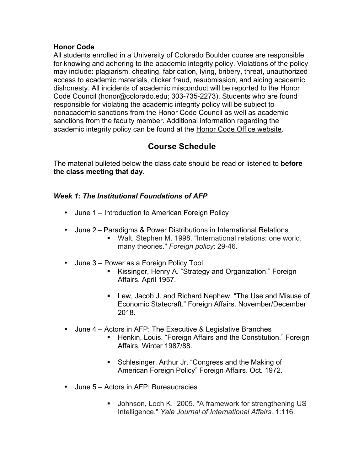#### **Honor Code**

All students enrolled in a University of Colorado Boulder course are responsible for knowing and adhering to the academic integrity policy. Violations of the policy may include: plagiarism, cheating, fabrication, lying, bribery, threat, unauthorized access to academic materials, clicker fraud, resubmission, and aiding academic dishonesty. All incidents of academic misconduct will be reported to the Honor Code Council (honor@colorado.edu; 303-735-2273). Students who are found responsible for violating the academic integrity policy will be subject to nonacademic sanctions from the Honor Code Council as well as academic sanctions from the faculty member. Additional information regarding the academic integrity policy can be found at the Honor Code Office website.

## **Course Schedule**

The material bulleted below the class date should be read or listened to **before the class meeting that day**.

### *Week 1: The Institutional Foundations of AFP*

- June 1 Introduction to American Foreign Policy
- June 2 Paradigms & Power Distributions in International Relations
	- Walt, Stephen M. 1998. "International relations: one world, many theories." *Foreign policy*: 29-46.
- June 3 Power as a Foreign Policy Tool
	- Kissinger, Henry A. "Strategy and Organization." Foreign Affairs. April 1957.
	- Lew, Jacob J. and Richard Nephew. "The Use and Misuse of Economic Statecraft." Foreign Affairs. November/December 2018.
- June 4 Actors in AFP: The Executive & Legislative Branches
	- Henkin, Louis. "Foreign Affairs and the Constitution." Foreign Affairs. Winter 1987/88.
	- Schlesinger, Arthur Jr. "Congress and the Making of American Foreign Policy" Foreign Affairs. Oct. 1972.
- June 5 Actors in AFP: Bureaucracies
	- Johnson, Loch K. 2005. "A framework for strengthening US Intelligence." *Yale Journal of International Affairs.* 1:116.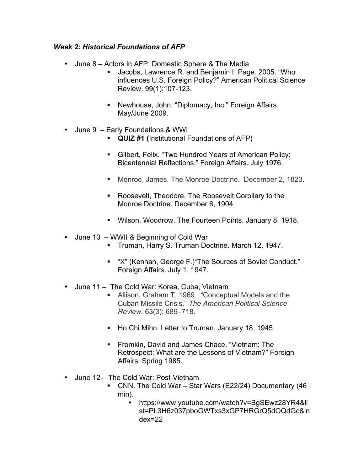### *Week 2: Historical Foundations of AFP*

- June 8 Actors in AFP: Domestic Sphere & The Media
	- Jacobs, Lawrence R. and Benjamin I. Page. 2005. "Who influences U.S. Foreign Policy?" American Political Science Review. 99(1):107-123.
	- Newhouse, John. "Diplomacy, Inc." Foreign Affairs. May/June 2009.
- June 9 Early Foundations & WWI
	- § **QUIZ #1 (**Institutional Foundations of AFP)
	- Gilbert, Felix. "Two Hundred Years of American Policy: Bicentennial Reflections." Foreign Affairs. July 1976.
	- § Monroe, James. The Monroe Doctrine*.* December 2, 1823.
	- Roosevelt, Theodore. The Roosevelt Corollary to the Monroe Doctrine. December 6, 1904
	- § Wilson, Woodrow. The Fourteen Points. January 8, 1918.
- June 10 WWII & Beginning of Cold War
	- § Truman, Harry S. Truman Doctrine. March 12, 1947.
	- "X" (Kennan, George F.) The Sources of Soviet Conduct." Foreign Affairs. July 1, 1947.
- June 11 The Cold War: Korea, Cuba, Vietnam
	- Allison, Graham T. 1969. "Conceptual Models and the Cuban Missile Crisis." *The American Political Science Review*. 63(3): 689–718.
	- Ho Chi Mihn. Letter to Truman. January 18, 1945.
	- Fromkin, David and James Chace. "Vietnam: The Retrospect: What are the Lessons of Vietnam?" Foreign Affairs. Spring 1985.
- June 12 The Cold War: Post-Vietnam
	- CNN. The Cold War Star Wars (E22/24) Documentary (46 min).
		- https://www.youtube.com/watch?v=BgSEwz28YR4&li st=PL3H6z037pboGWTxs3xGP7HRGrQ5dOQdGc&in dex=22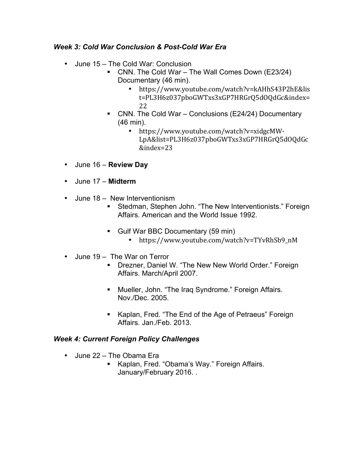### *Week 3: Cold War Conclusion & Post-Cold War Era*

- June 15 The Cold War: Conclusion
	- CNN. The Cold War The Wall Comes Down (E23/24) Documentary (46 min).
		- https://www.youtube.com/watch?v=kAHhS43P2hE&lis t=PL3H6z037pboGWTxs3xGP7HRGrQ5dOQdGc&index= 22
	- CNN. The Cold War Conclusions (E24/24) Documentary (46 min).
		- https://www.youtube.com/watch?v=xidgcMW-LpA&list=PL3H6z037pboGWTxs3xGP7HRGrQ5dOQdGc &index=23
- June 16 **Review Day**
- June 17 **Midterm**
- June 18 New Interventionism
	- Stedman, Stephen John. "The New Interventionists." Foreign Affairs. American and the World Issue 1992.
	- Gulf War BBC Documentary (59 min)
		- https://www.youtube.com/watch?v=TYvRhSb9\_nM
- June 19 The War on Terror
	- Drezner, Daniel W. "The New New World Order." Foreign Affairs. March/April 2007.
	- Mueller, John. "The Iraq Syndrome." Foreign Affairs. Nov./Dec. 2005.
	- Kaplan, Fred. "The End of the Age of Petraeus" Foreign Affairs. Jan./Feb. 2013.

### *Week 4: Current Foreign Policy Challenges*

- June 22 The Obama Era
	- Kaplan, Fred. "Obama's Way." Foreign Affairs. January/February 2016. .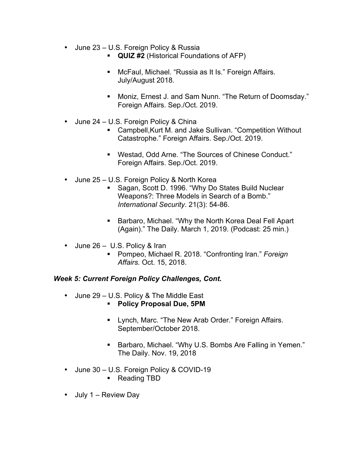- June 23 U.S. Foreign Policy & Russia
	- § **QUIZ #2** (Historical Foundations of AFP)
	- McFaul, Michael. "Russia as It Is." Foreign Affairs. July/August 2018.
	- Moniz, Ernest J. and Sam Nunn. "The Return of Doomsday." Foreign Affairs. Sep./Oct. 2019.
- June 24 U.S. Foreign Policy & China
	- Campbell, Kurt M. and Jake Sullivan. "Competition Without Catastrophe." Foreign Affairs. Sep./Oct. 2019.
	- Westad, Odd Arne. "The Sources of Chinese Conduct." Foreign Affairs. Sep./Oct. 2019.
- June 25 U.S. Foreign Policy & North Korea
	- Sagan, Scott D. 1996. "Why Do States Build Nuclear Weapons?: Three Models in Search of a Bomb." *International Security*. 21(3): 54-86.
	- Barbaro, Michael. "Why the North Korea Deal Fell Apart (Again)." The Daily. March 1, 2019. (Podcast: 25 min.)
- June 26 U.S. Policy & Iran
	- Pompeo, Michael R. 2018. "Confronting Iran." *Foreign Affairs.* Oct. 15, 2018.

#### *Week 5: Current Foreign Policy Challenges, Cont.*

- June 29 U.S. Policy & The Middle East
	- § **Policy Proposal Due, 5PM**
	- Lynch, Marc. "The New Arab Order." Foreign Affairs. September/October 2018.
	- Barbaro, Michael. "Why U.S. Bombs Are Falling in Yemen." The Daily. Nov. 19, 2018
- June 30 U.S. Foreign Policy & COVID-19
	- Reading TBD
- July 1 Review Day